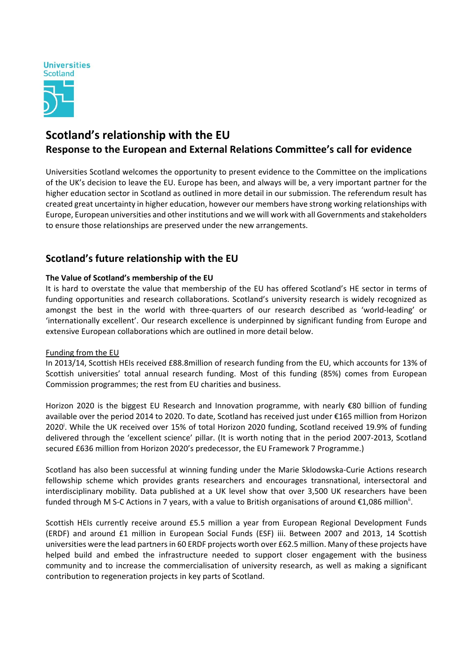

# **Scotland's relationship with the EU Response to the European and External Relations Committee's call for evidence**

Universities Scotland welcomes the opportunity to present evidence to the Committee on the implications of the UK's decision to leave the EU. Europe has been, and always will be, a very important partner for the higher education sector in Scotland as outlined in more detail in our submission. The referendum result has created great uncertainty in higher education, however our members have strong working relationships with Europe, European universities and other institutions and we will work with all Governments and stakeholders to ensure those relationships are preserved under the new arrangements.

## **Scotland's future relationship with the EU**

#### **The Value of Scotland's membership of the EU**

It is hard to overstate the value that membership of the EU has offered Scotland's HE sector in terms of funding opportunities and research collaborations. Scotland's university research is widely recognized as amongst the best in the world with three-quarters of our research described as 'world-leading' or 'internationally excellent'. Our research excellence is underpinned by significant funding from Europe and extensive European collaborations which are outlined in more detail below.

#### Funding from the EU

In 2013/14, Scottish HEIs received £88.8million of research funding from the EU, which accounts for 13% of Scottish universities' total annual research funding. Most of this funding (85%) comes from European Commission programmes; the rest from EU charities and business.

Horizon 2020 is the biggest EU Research and Innovation programme, with nearly €80 billion of funding available over the period 2014 to 2020. To date, Scotland has received just under €165 million from Horizon 2020<sup>i</sup>. While the UK received over 15% of total Horizon 2020 funding, Scotland received 19.9% of funding delivered through the 'excellent science' pillar. (It is worth noting that in the period 2007‐2013, Scotland secured £636 million from Horizon 2020's predecessor, the EU Framework 7 Programme.)

Scotland has also been successful at winning funding under the Marie Sklodowska‐Curie Actions research fellowship scheme which provides grants researchers and encourages transnational, intersectoral and interdisciplinary mobility. Data published at a UK level show that over 3,500 UK researchers have been funded through M S-C Actions in 7 years, with a value to British organisations of around €1,086 million<sup>ii</sup>.

Scottish HEIs currently receive around £5.5 million a year from European Regional Development Funds (ERDF) and around £1 million in European Social Funds (ESF) iii. Between 2007 and 2013, 14 Scottish universities were the lead partnersin 60 ERDF projects worth over £62.5 million. Many of these projects have helped build and embed the infrastructure needed to support closer engagement with the business community and to increase the commercialisation of university research, as well as making a significant contribution to regeneration projects in key parts of Scotland.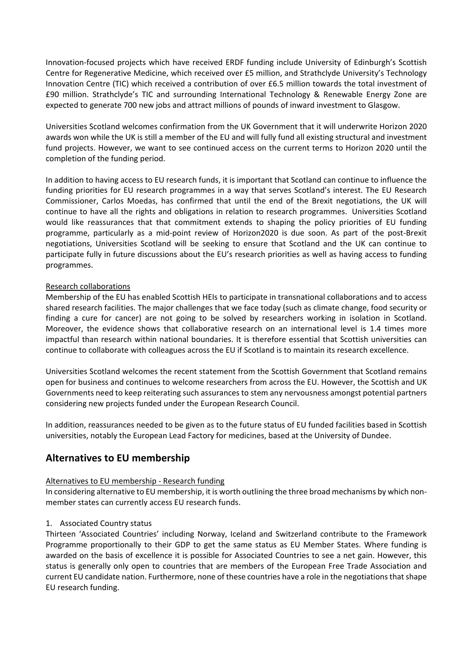Innovation‐focused projects which have received ERDF funding include University of Edinburgh's Scottish Centre for Regenerative Medicine, which received over £5 million, and Strathclyde University's Technology Innovation Centre (TIC) which received a contribution of over £6.5 million towards the total investment of £90 million. Strathclyde's TIC and surrounding International Technology & Renewable Energy Zone are expected to generate 700 new jobs and attract millions of pounds of inward investment to Glasgow.

Universities Scotland welcomes confirmation from the UK Government that it will underwrite Horizon 2020 awards won while the UK is still a member of the EU and will fully fund all existing structural and investment fund projects. However, we want to see continued access on the current terms to Horizon 2020 until the completion of the funding period.

In addition to having access to EU research funds, it is important that Scotland can continue to influence the funding priorities for EU research programmes in a way that serves Scotland's interest. The EU Research Commissioner, Carlos Moedas, has confirmed that until the end of the Brexit negotiations, the UK will continue to have all the rights and obligations in relation to research programmes. Universities Scotland would like reassurances that that commitment extends to shaping the policy priorities of EU funding programme, particularly as a mid‐point review of Horizon2020 is due soon. As part of the post‐Brexit negotiations, Universities Scotland will be seeking to ensure that Scotland and the UK can continue to participate fully in future discussions about the EU's research priorities as well as having access to funding programmes.

#### Research collaborations

Membership of the EU has enabled Scottish HEIs to participate in transnational collaborations and to access shared research facilities. The major challenges that we face today (such as climate change, food security or finding a cure for cancer) are not going to be solved by researchers working in isolation in Scotland. Moreover, the evidence shows that collaborative research on an international level is 1.4 times more impactful than research within national boundaries. It is therefore essential that Scottish universities can continue to collaborate with colleagues across the EU if Scotland is to maintain its research excellence.

Universities Scotland welcomes the recent statement from the Scottish Government that Scotland remains open for business and continues to welcome researchers from across the EU. However, the Scottish and UK Governments need to keep reiterating such assurances to stem any nervousness amongst potential partners considering new projects funded under the European Research Council.

In addition, reassurances needed to be given as to the future status of EU funded facilities based in Scottish universities, notably the European Lead Factory for medicines, based at the University of Dundee.

## **Alternatives to EU membership**

#### Alternatives to EU membership ‐ Research funding

In considering alternative to EU membership, it is worth outlining the three broad mechanisms by which non‐ member states can currently access EU research funds.

#### 1. Associated Country status

Thirteen 'Associated Countries' including Norway, Iceland and Switzerland contribute to the Framework Programme proportionally to their GDP to get the same status as EU Member States. Where funding is awarded on the basis of excellence it is possible for Associated Countries to see a net gain. However, this status is generally only open to countries that are members of the European Free Trade Association and current EU candidate nation. Furthermore, none of these countries have a role in the negotiations that shape EU research funding.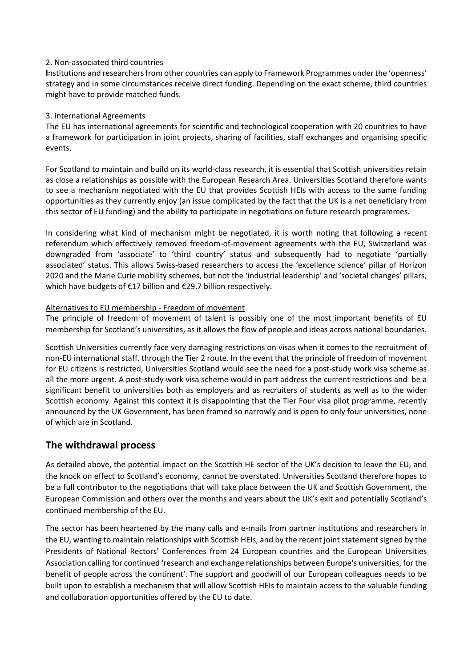#### 2. Non‐associated third countries

Institutions and researchers from other countries can apply to Framework Programmes under the 'openness' strategy and in some circumstances receive direct funding. Depending on the exact scheme, third countries might have to provide matched funds.

#### 3. International Agreements

The EU has international agreements for scientific and technological cooperation with 20 countries to have a framework for participation in joint projects, sharing of facilities, staff exchanges and organising specific events.

For Scotland to maintain and build on its world‐class research, it is essential that Scottish universities retain as close a relationships as possible with the European Research Area. Universities Scotland therefore wants to see a mechanism negotiated with the EU that provides Scottish HEIs with access to the same funding opportunities as they currently enjoy (an issue complicated by the fact that the UK is a net beneficiary from this sector of EU funding) and the ability to participate in negotiations on future research programmes.

In considering what kind of mechanism might be negotiated, it is worth noting that following a recent referendum which effectively removed freedom‐of‐movement agreements with the EU, Switzerland was downgraded from 'associate' to 'third country' status and subsequently had to negotiate 'partially associated' status. This allows Swiss‐based researchers to access the 'excellence science' pillar of Horizon 2020 and the Marie Curie mobility schemes, but not the 'industrial leadership' and 'societal changes' pillars, which have budgets of €17 billion and €29.7 billion respectively.

#### Alternatives to EU membership ‐ Freedom of movement

The principle of freedom of movement of talent is possibly one of the most important benefits of EU membership for Scotland's universities, as it allows the flow of people and ideas across national boundaries.

Scottish Universities currently face very damaging restrictions on visas when it comes to the recruitment of non‐EU international staff, through the Tier 2 route. In the event that the principle of freedom of movement for EU citizens is restricted, Universities Scotland would see the need for a post-study work visa scheme as all the more urgent. A post‐study work visa scheme would in part address the current restrictions and be a significant benefit to universities both as employers and as recruiters of students as well as to the wider Scottish economy. Against this context it is disappointing that the Tier Four visa pilot programme, recently announced by the UK Government, has been framed so narrowly and is open to only four universities, none of which are in Scotland.

### **The withdrawal process**

As detailed above, the potential impact on the Scottish HE sector of the UK's decision to leave the EU, and the knock on effect to Scotland's economy, cannot be overstated. Universities Scotland therefore hopes to be a full contributor to the negotiations that will take place between the UK and Scottish Government, the European Commission and others over the months and years about the UK's exit and potentially Scotland's continued membership of the EU.

The sector has been heartened by the many calls and e‐mails from partner institutions and researchers in the EU, wanting to maintain relationships with Scottish HEIs, and by the recent joint statement signed by the Presidents of National Rectors' Conferences from 24 European countries and the European Universities Association calling for continued 'research and exchange relationships between Europe's universities, for the benefit of people across the continent'. The support and goodwill of our European colleagues needs to be built upon to establish a mechanism that will allow Scottish HEIs to maintain access to the valuable funding and collaboration opportunities offered by the EU to date.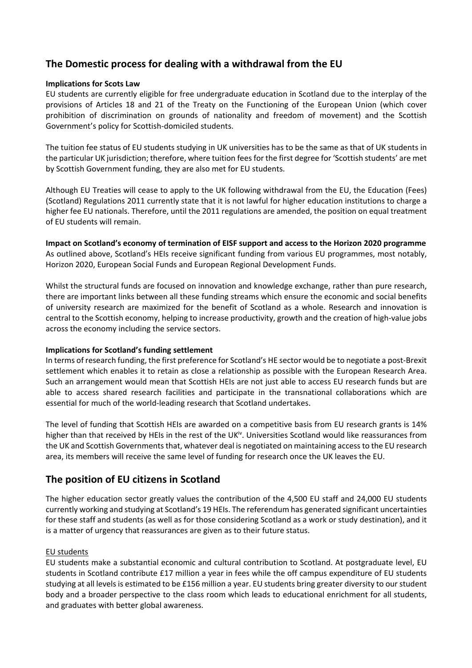## **The Domestic process for dealing with a withdrawal from the EU**

#### **Implications for Scots Law**

EU students are currently eligible for free undergraduate education in Scotland due to the interplay of the provisions of Articles 18 and 21 of the Treaty on the Functioning of the European Union (which cover prohibition of discrimination on grounds of nationality and freedom of movement) and the Scottish Government's policy for Scottish‐domiciled students.

The tuition fee status of EU students studying in UK universities has to be the same as that of UK students in the particular UK jurisdiction; therefore, where tuition feesfor the first degree for 'Scottish students' are met by Scottish Government funding, they are also met for EU students.

Although EU Treaties will cease to apply to the UK following withdrawal from the EU, the Education (Fees) (Scotland) Regulations 2011 currently state that it is not lawful for higher education institutions to charge a higher fee EU nationals. Therefore, until the 2011 regulations are amended, the position on equal treatment of EU students will remain.

**Impact on Scotland's economy of termination of EISF support and access to the Horizon 2020 programme** As outlined above, Scotland's HEIs receive significant funding from various EU programmes, most notably, Horizon 2020, European Social Funds and European Regional Development Funds.

Whilst the structural funds are focused on innovation and knowledge exchange, rather than pure research, there are important links between all these funding streams which ensure the economic and social benefits of university research are maximized for the benefit of Scotland as a whole. Research and innovation is central to the Scottish economy, helping to increase productivity, growth and the creation of high‐value jobs across the economy including the service sectors.

#### **Implications for Scotland's funding settlement**

In terms of research funding, the first preference for Scotland's HE sector would be to negotiate a post‐Brexit settlement which enables it to retain as close a relationship as possible with the European Research Area. Such an arrangement would mean that Scottish HEIs are not just able to access EU research funds but are able to access shared research facilities and participate in the transnational collaborations which are essential for much of the world‐leading research that Scotland undertakes.

The level of funding that Scottish HEIs are awarded on a competitive basis from EU research grants is 14% higher than that received by HEIs in the rest of the UK<sup>iv</sup>. Universities Scotland would like reassurances from the UK and Scottish Governments that, whatever deal is negotiated on maintaining access to the EU research area, its members will receive the same level of funding for research once the UK leaves the EU.

## **The position of EU citizens in Scotland**

The higher education sector greatly values the contribution of the 4,500 EU staff and 24,000 EU students currently working and studying at Scotland's 19 HEIs. The referendum has generated significant uncertainties for these staff and students (as well as for those considering Scotland as a work or study destination), and it is a matter of urgency that reassurances are given as to their future status.

#### EU students

EU students make a substantial economic and cultural contribution to Scotland. At postgraduate level, EU students in Scotland contribute £17 million a year in fees while the off campus expenditure of EU students studying at all levels is estimated to be £156 million a year. EU students bring greater diversity to our student body and a broader perspective to the class room which leads to educational enrichment for all students, and graduates with better global awareness.